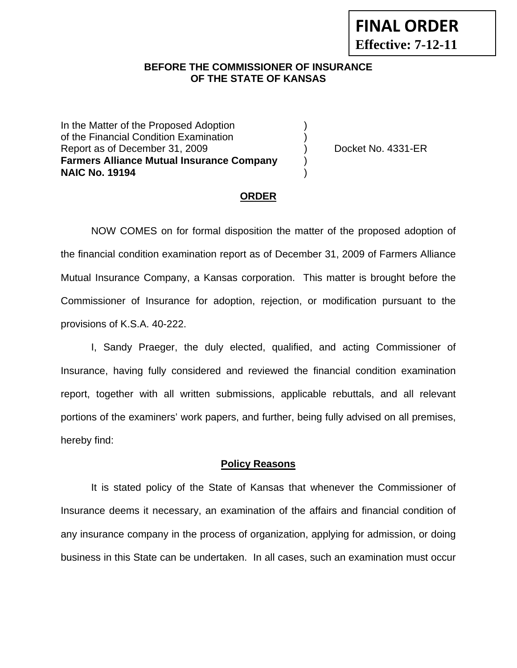#### **BEFORE THE COMMISSIONER OF INSURANCE OF THE STATE OF KANSAS**

In the Matter of the Proposed Adoption of the Financial Condition Examination ) Report as of December 31, 2009 (and Contact Contact Contact No. 4331-ER **Farmers Alliance Mutual Insurance Company** ) **NAIC No. 19194** )

#### **ORDER**

 NOW COMES on for formal disposition the matter of the proposed adoption of the financial condition examination report as of December 31, 2009 of Farmers Alliance Mutual Insurance Company, a Kansas corporation. This matter is brought before the Commissioner of Insurance for adoption, rejection, or modification pursuant to the provisions of K.S.A. 40-222.

 I, Sandy Praeger, the duly elected, qualified, and acting Commissioner of Insurance, having fully considered and reviewed the financial condition examination report, together with all written submissions, applicable rebuttals, and all relevant portions of the examiners' work papers, and further, being fully advised on all premises, hereby find:

#### **Policy Reasons**

 It is stated policy of the State of Kansas that whenever the Commissioner of Insurance deems it necessary, an examination of the affairs and financial condition of any insurance company in the process of organization, applying for admission, or doing business in this State can be undertaken. In all cases, such an examination must occur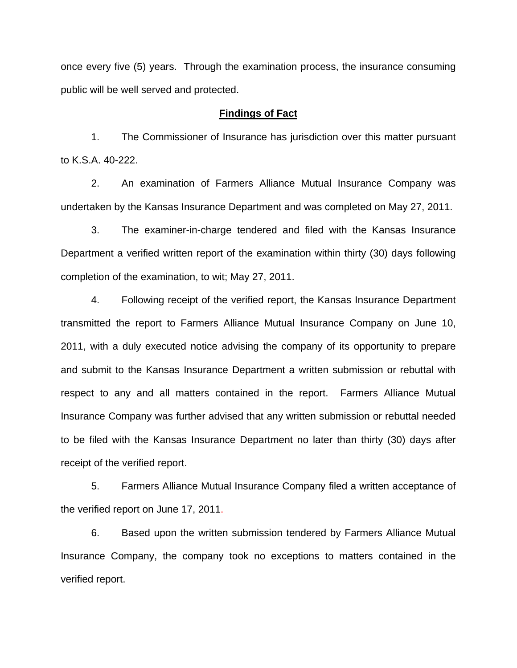once every five (5) years. Through the examination process, the insurance consuming public will be well served and protected.

#### **Findings of Fact**

 1. The Commissioner of Insurance has jurisdiction over this matter pursuant to K.S.A. 40-222.

 2. An examination of Farmers Alliance Mutual Insurance Company was undertaken by the Kansas Insurance Department and was completed on May 27, 2011.

 3. The examiner-in-charge tendered and filed with the Kansas Insurance Department a verified written report of the examination within thirty (30) days following completion of the examination, to wit; May 27, 2011.

 4. Following receipt of the verified report, the Kansas Insurance Department transmitted the report to Farmers Alliance Mutual Insurance Company on June 10, 2011, with a duly executed notice advising the company of its opportunity to prepare and submit to the Kansas Insurance Department a written submission or rebuttal with respect to any and all matters contained in the report. Farmers Alliance Mutual Insurance Company was further advised that any written submission or rebuttal needed to be filed with the Kansas Insurance Department no later than thirty (30) days after receipt of the verified report.

 5. Farmers Alliance Mutual Insurance Company filed a written acceptance of the verified report on June 17, 2011.

6. Based upon the written submission tendered by Farmers Alliance Mutual Insurance Company, the company took no exceptions to matters contained in the verified report.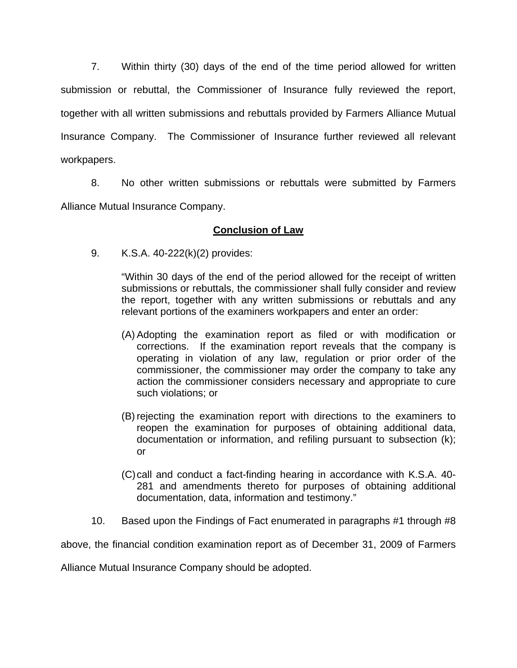7. Within thirty (30) days of the end of the time period allowed for written submission or rebuttal, the Commissioner of Insurance fully reviewed the report, together with all written submissions and rebuttals provided by Farmers Alliance Mutual Insurance Company. The Commissioner of Insurance further reviewed all relevant workpapers.

 8. No other written submissions or rebuttals were submitted by Farmers Alliance Mutual Insurance Company.

## **Conclusion of Law**

9. K.S.A. 40-222(k)(2) provides:

"Within 30 days of the end of the period allowed for the receipt of written submissions or rebuttals, the commissioner shall fully consider and review the report, together with any written submissions or rebuttals and any relevant portions of the examiners workpapers and enter an order:

- (A) Adopting the examination report as filed or with modification or corrections. If the examination report reveals that the company is operating in violation of any law, regulation or prior order of the commissioner, the commissioner may order the company to take any action the commissioner considers necessary and appropriate to cure such violations; or
- (B) rejecting the examination report with directions to the examiners to reopen the examination for purposes of obtaining additional data, documentation or information, and refiling pursuant to subsection (k); or
- (C) call and conduct a fact-finding hearing in accordance with K.S.A. 40- 281 and amendments thereto for purposes of obtaining additional documentation, data, information and testimony."
- 10. Based upon the Findings of Fact enumerated in paragraphs #1 through #8

above, the financial condition examination report as of December 31, 2009 of Farmers

Alliance Mutual Insurance Company should be adopted.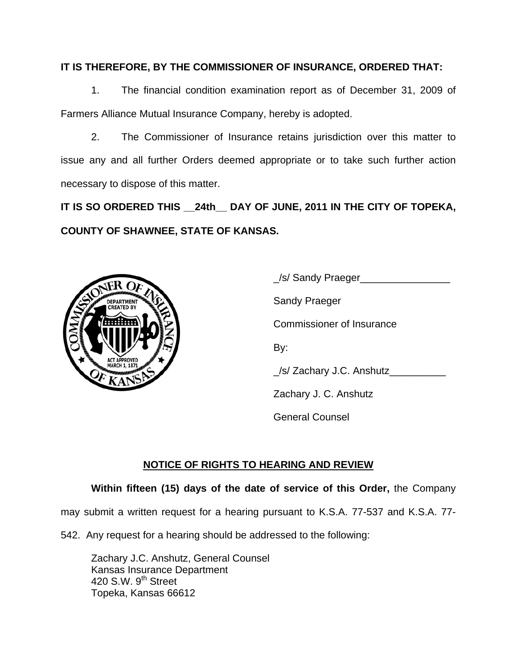## **IT IS THEREFORE, BY THE COMMISSIONER OF INSURANCE, ORDERED THAT:**

 1. The financial condition examination report as of December 31, 2009 of Farmers Alliance Mutual Insurance Company, hereby is adopted.

 2. The Commissioner of Insurance retains jurisdiction over this matter to issue any and all further Orders deemed appropriate or to take such further action necessary to dispose of this matter.

**IT IS SO ORDERED THIS \_\_24th\_\_ DAY OF JUNE, 2011 IN THE CITY OF TOPEKA, COUNTY OF SHAWNEE, STATE OF KANSAS.** 



 \_/s/ Sandy Praeger\_\_\_\_\_\_\_\_\_\_\_\_\_\_\_\_ Commissioner of Insurance \_/s/ Zachary J.C. Anshutz\_\_\_\_\_\_\_\_\_\_ Zachary J. C. Anshutz General Counsel

# **NOTICE OF RIGHTS TO HEARING AND REVIEW**

# **Within fifteen (15) days of the date of service of this Order,** the Company

may submit a written request for a hearing pursuant to K.S.A. 77-537 and K.S.A. 77-

542. Any request for a hearing should be addressed to the following:

 Zachary J.C. Anshutz, General Counsel Kansas Insurance Department 420 S.W.  $9<sup>th</sup>$  Street Topeka, Kansas 66612